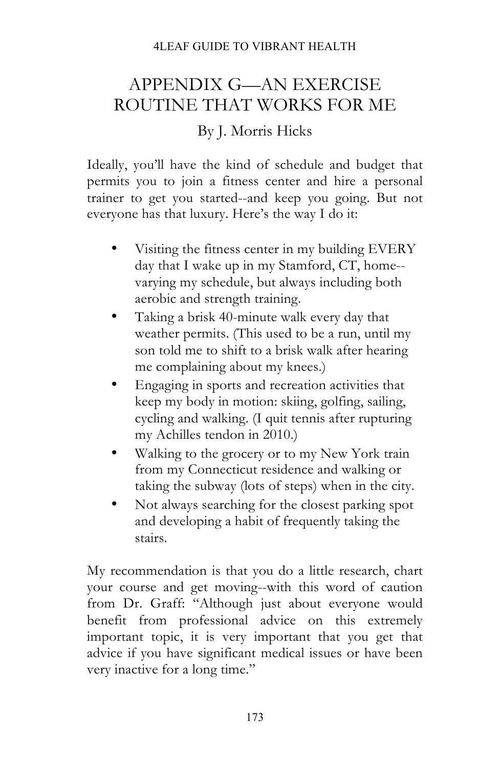## 4LEAF GUIDE TO VIBRANT HEALTH

## APPENDIX G—AN EXERCISE ROUTINE THAT WORKS FOR ME

## By J. Morris Hicks

Ideally, you'll have the kind of schedule and budget that permits you to join a fitness center and hire a personal trainer to get you started--and keep you going. But not everyone has that luxury. Here's the way I do it:

- Visiting the fitness center in my building EVERY day that I wake up in my Stamford, CT, home- varying my schedule, but always including both aerobic and strength training.
- Taking a brisk 40-minute walk every day that weather permits. (This used to be a run, until my son told me to shift to a brisk walk after hearing me complaining about my knees.)
- Engaging in sports and recreation activities that keep my body in motion: skiing, golfing, sailing, cycling and walking. (I quit tennis after rupturing my Achilles tendon in 2010.)
- Walking to the grocery or to my New York train from my Connecticut residence and walking or taking the subway (lots of steps) when in the city.
- Not always searching for the closest parking spot and developing a habit of frequently taking the stairs.

My recommendation is that you do a little research, chart your course and get moving--with this word of caution from Dr. Graff: "Although just about everyone would benefit from professional advice on this extremely important topic, it is very important that you get that advice if you have significant medical issues or have been very inactive for a long time."